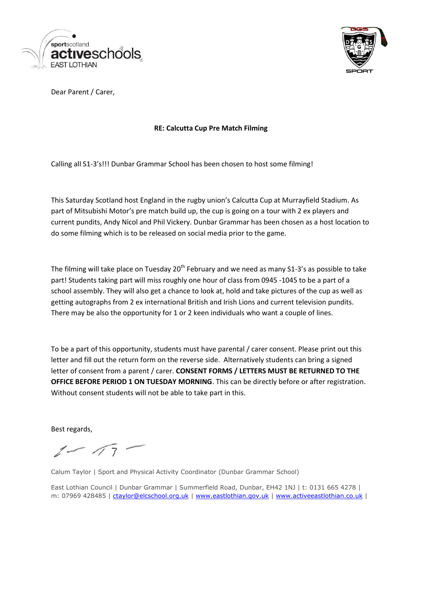



Dear Parent / Carer,

## **RE: Calcutta Cup Pre Match Filming**

Calling all S1-3's!!! Dunbar Grammar School has been chosen to host some filming!

This Saturday Scotland host England in the rugby union's Calcutta Cup at Murrayfield Stadium. As part of Mitsubishi Motor's pre match build up, the cup is going on a tour with 2 ex players and current pundits, Andy Nicol and Phil Vickery. Dunbar Grammar has been chosen as a host location to do some filming which is to be released on social media prior to the game.

The filming will take place on Tuesday  $20<sup>th</sup>$  February and we need as many S1-3's as possible to take part! Students taking part will miss roughly one hour of class from 0945 -1045 to be a part of a school assembly. They will also get a chance to look at, hold and take pictures of the cup as well as getting autographs from 2 ex international British and Irish Lions and current television pundits. There may be also the opportunity for 1 or 2 keen individuals who want a couple of lines.

To be a part of this opportunity, students must have parental / carer consent. Please print out this letter and fill out the return form on the reverse side. Alternatively students can bring a signed letter of consent from a parent / carer. **CONSENT FORMS / LETTERS MUST BE RETURNED TO THE OFFICE BEFORE PERIOD 1 ON TUESDAY MORNING**. This can be directly before or after registration. Without consent students will not be able to take part in this.

Best regards,

 $1 - 17 -$ 

Calum Taylor | Sport and Physical Activity Coordinator (Dunbar Grammar School)

East Lothian Council | Dunbar Grammar | Summerfield Road, Dunbar, EH42 1NJ | t: 0131 665 4278 | m: 07969 428485 | [ctaylor@elcschool.org.uk](mailto:ctaylor@elcschool.org.uk) | [www.eastlothian.gov.uk](https://mail.elc.school/owa/redir.aspx?C=qc0jDsDO9U-PTbmGj1YCIlFUqxJt0NEIDkF9yQKY7adWrm5iEjnLeOzvkkG9-hhvf5A2JrirITc.&URL=http%3a%2f%2fwww.eastlothian.gov.uk%2f) | [www.activeeastlothian.co.uk](https://mail.elc.school/owa/redir.aspx?C=qc0jDsDO9U-PTbmGj1YCIlFUqxJt0NEIDkF9yQKY7adWrm5iEjnLeOzvkkG9-hhvf5A2JrirITc.&URL=http%3a%2f%2fwww.activeeastlothian.co.uk%2f) |